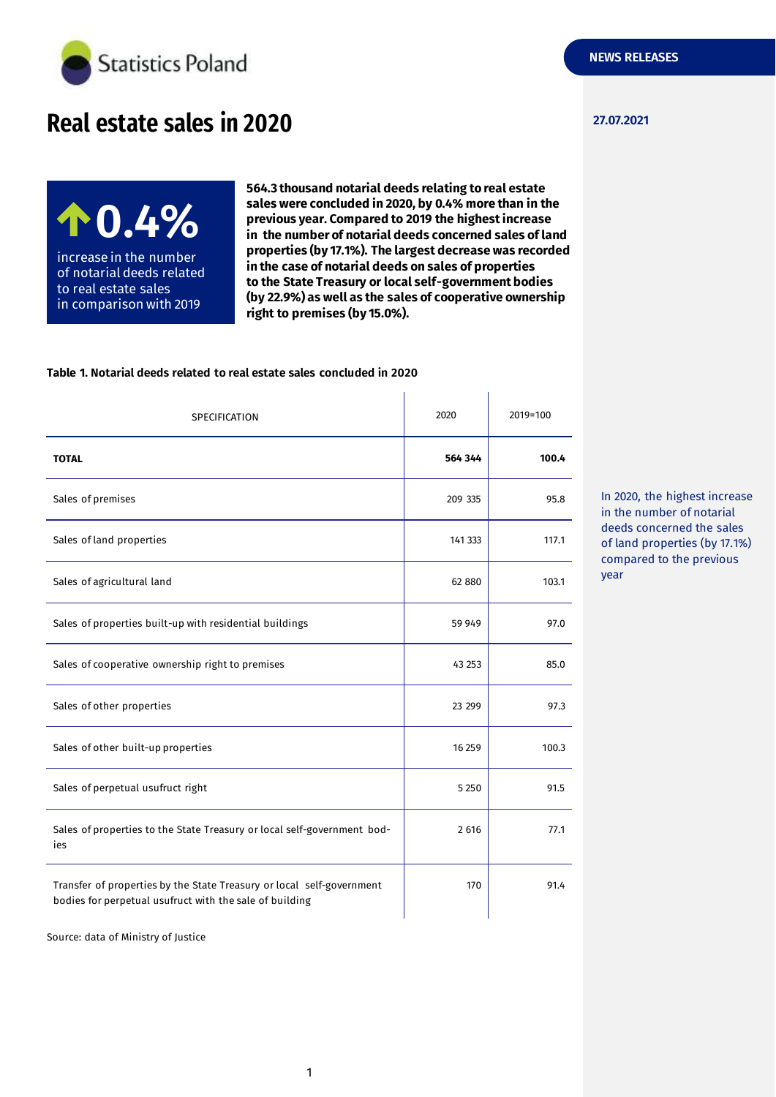

# **27.07.2021 Real estate sales in 2020**

**0.4%** increase in the number of notarial deeds related to real estate sales in comparison with 2019

**564.3 thousand notarial deeds relating to real estate sales were concluded in 2020, by 0.4% more than in the previous year. Compared to 2019 the highest increase in the number of notarial deeds concerned sales of land properties (by 17.1%). The largest decrease was recorded in the case of notarial deeds on sales of properties to the State Treasury or local self-government bodies (by 22.9%) as well as the sales of cooperative ownership right to premises (by 15.0%).**

#### **Table 1. Notarial deeds related to real estate sales concluded in 2020**

| SPECIFICATION                                                                                                                    | 2020    | 2019=100 |
|----------------------------------------------------------------------------------------------------------------------------------|---------|----------|
| <b>TOTAL</b>                                                                                                                     | 564 344 | 100.4    |
| Sales of premises                                                                                                                | 209 335 | 95.8     |
| Sales of land properties                                                                                                         | 141 333 | 117.1    |
| Sales of agricultural land                                                                                                       | 62 880  | 103.1    |
| Sales of properties built-up with residential buildings                                                                          | 59 949  | 97.0     |
| Sales of cooperative ownership right to premises                                                                                 | 43 253  | 85.0     |
| Sales of other properties                                                                                                        | 23 29 9 | 97.3     |
| Sales of other built-up properties                                                                                               | 16 25 9 | 100.3    |
| Sales of perpetual usufruct right                                                                                                | 5 2 5 0 | 91.5     |
| Sales of properties to the State Treasury or local self-government bod-<br>ies                                                   | 2 6 1 6 | 77.1     |
| Transfer of properties by the State Treasury or local self-government<br>bodies for perpetual usufruct with the sale of building | 170     | 91.4     |

In 2020, the highest increase in the number of notarial deeds concerned the sales of land properties (by 17.1%) compared to the previous year

Source: data of Ministry of Justice

**NEWS RELEASES**

1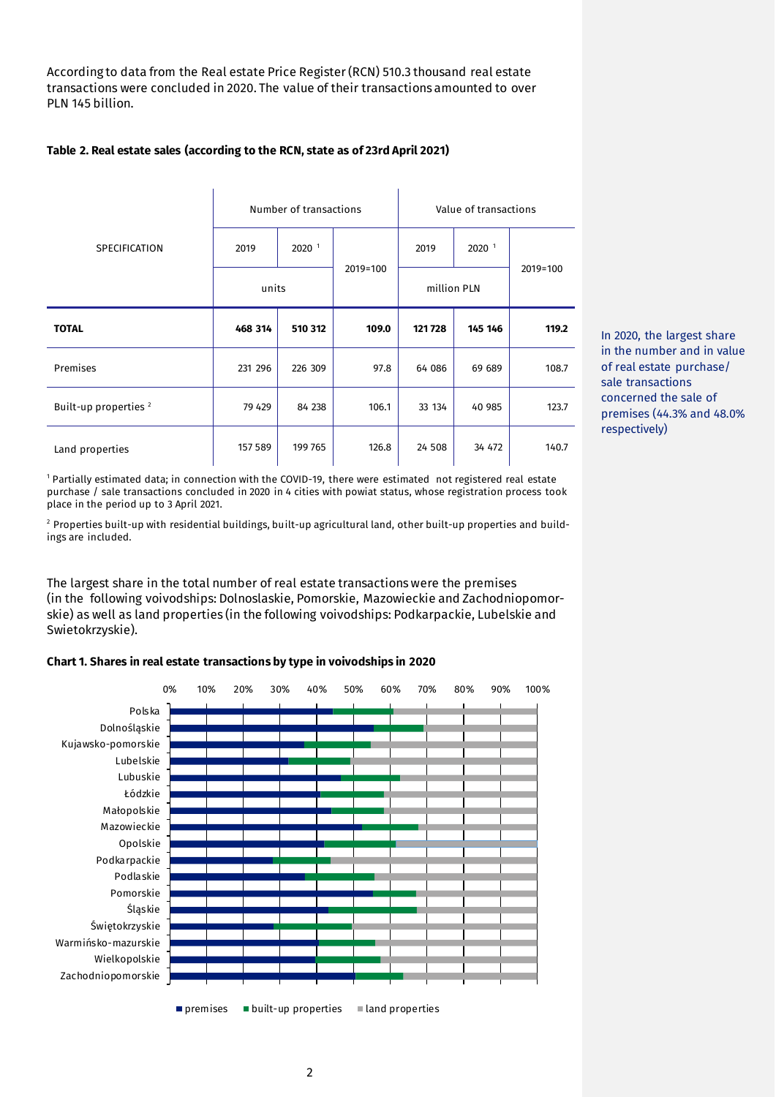According to data from the Real estate Price Register (RCN) 510.3 thousand real estate transactions were concluded in 2020. The value of their transactions amounted to over PLN 145 billion.

# **Table 2. Real estate sales (according to the RCN, state as of 23rd April 2021)**

|                                  | Number of transactions |          |          | Value of transactions |                   |          |
|----------------------------------|------------------------|----------|----------|-----------------------|-------------------|----------|
| <b>SPECIFICATION</b>             | 2019                   | $2020-1$ |          | 2019                  | 2020 <sup>1</sup> |          |
|                                  | units                  |          | 2019=100 | million PLN           |                   | 2019=100 |
| <b>TOTAL</b>                     | 468 314                | 510 312  | 109.0    | 121728                | 145 146           | 119.2    |
| Premises                         | 231 296                | 226 309  | 97.8     | 64 086                | 69 689            | 108.7    |
| Built-up properties <sup>2</sup> | 79 429                 | 84 238   | 106.1    | 33 134                | 40 985            | 123.7    |
| Land properties                  | 157 589                | 199765   | 126.8    | 24 508                | 34 472            | 140.7    |

In 2020, the largest share in the number and in value of real estate purchase/ sale transactions concerned the sale of premises (44.3% and 48.0% respectively)

<sup>1</sup> Partially estimated data; in connection with the COVID-19, there were estimated not registered real estate purchase / sale transactions concluded in 2020 in 4 cities with powiat status, whose registration process took place in the period up to 3 April 2021.

<sup>2</sup> Properties built-up with residential buildings, built-up agricultural land, other built-up properties and buildings are included.

The largest share in the total number of real estate transactions were the premises (in the following voivodships: Dolnoslaskie, Pomorskie, Mazowieckie and Zachodniopomorskie) as well as land properties (in the following voivodships: Podkarpackie, Lubelskie and Swietokrzyskie).

# **Chart 1. Shares in real estate transactions by type in voivodships in 2020**

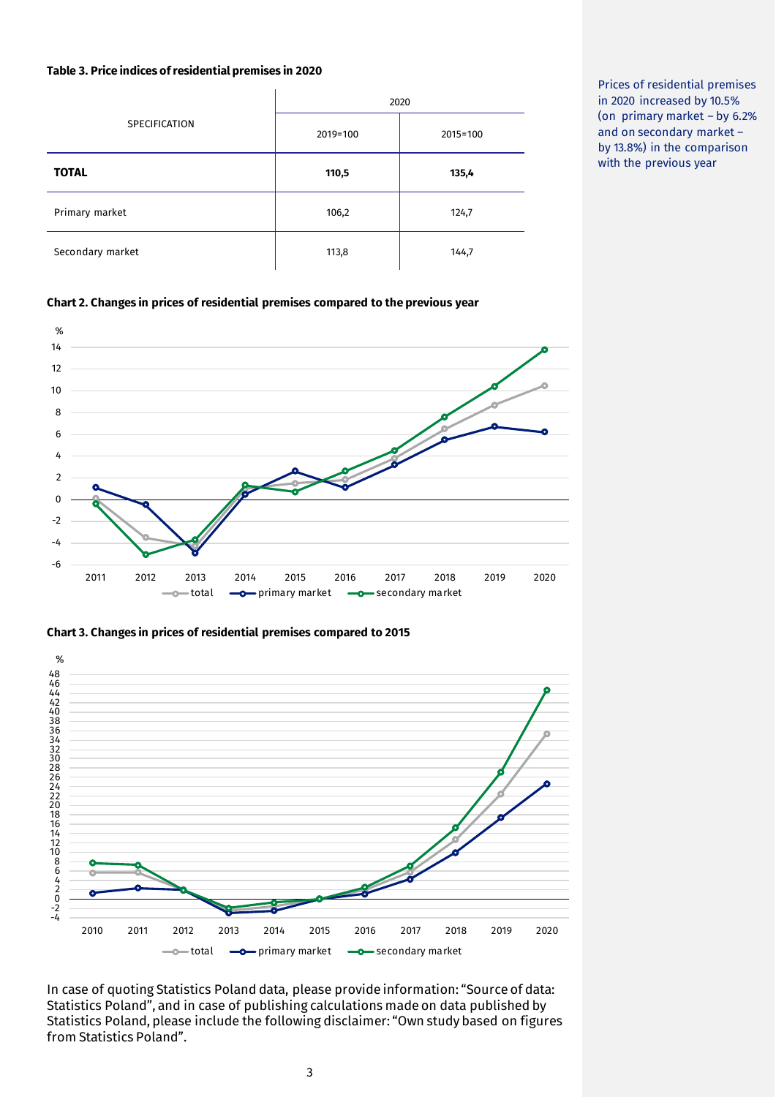## **Table 3. Price indices of residential premises in 2020**

|                  | 2020     |              |  |  |
|------------------|----------|--------------|--|--|
| SPECIFICATION    | 2019=100 | $2015 = 100$ |  |  |
| <b>TOTAL</b>     | 110,5    | 135,4        |  |  |
| Primary market   | 106,2    | 124,7        |  |  |
| Secondary market | 113,8    | 144,7        |  |  |

Prices of residential premises in 2020 increased by 10.5% (on primary market – by 6.2% and on secondary market – by 13.8%) in the comparison with the previous year

## **Chart 2. Changes in prices of residential premises compared to the previous year**



#### **Chart 3. Changes in prices of residential premises compared to 2015**



In case of quoting Statistics Poland data, please provide information: "Source of data: Statistics Poland", and in case of publishing calculations made on data published by Statistics Poland, please include the following disclaimer: "Own study based on figures from Statistics Poland".